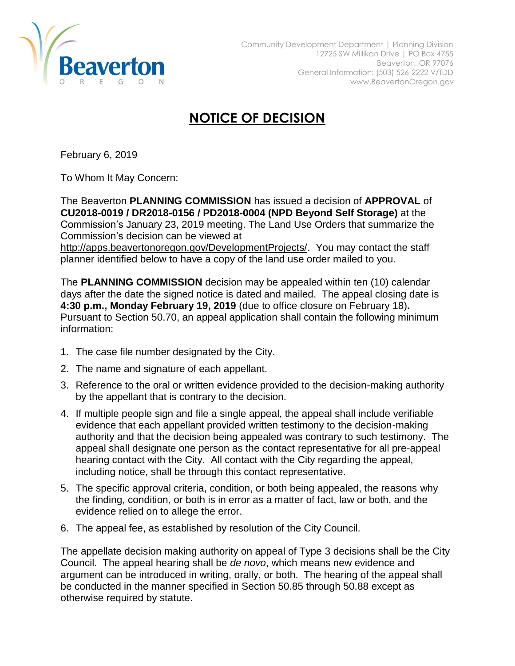

## **NOTICE OF DECISION**

February 6, 2019

To Whom It May Concern:

The Beaverton **PLANNING COMMISSION** has issued a decision of **APPROVAL** of **CU2018-0019 / DR2018-0156 / PD2018-0004 (NPD Beyond Self Storage)** at the Commission's January 23, 2019 meeting. The Land Use Orders that summarize the Commission's decision can be viewed at

[http://apps.beavertonoregon.gov/DevelopmentProjects/.](http://apps.beavertonoregon.gov/DevelopmentProjects/) You may contact the staff planner identified below to have a copy of the land use order mailed to you.

The **PLANNING COMMISSION** decision may be appealed within ten (10) calendar days after the date the signed notice is dated and mailed. The appeal closing date is **4:30 p.m., Monday February 19, 2019** (due to office closure on February 18)**.** Pursuant to Section 50.70, an appeal application shall contain the following minimum information:

- 1. The case file number designated by the City.
- 2. The name and signature of each appellant.
- 3. Reference to the oral or written evidence provided to the decision-making authority by the appellant that is contrary to the decision.
- 4. If multiple people sign and file a single appeal, the appeal shall include verifiable evidence that each appellant provided written testimony to the decision-making authority and that the decision being appealed was contrary to such testimony. The appeal shall designate one person as the contact representative for all pre-appeal hearing contact with the City. All contact with the City regarding the appeal, including notice, shall be through this contact representative.
- 5. The specific approval criteria, condition, or both being appealed, the reasons why the finding, condition, or both is in error as a matter of fact, law or both, and the evidence relied on to allege the error.
- 6. The appeal fee, as established by resolution of the City Council.

The appellate decision making authority on appeal of Type 3 decisions shall be the City Council. The appeal hearing shall be *de novo*, which means new evidence and argument can be introduced in writing, orally, or both. The hearing of the appeal shall be conducted in the manner specified in Section 50.85 through 50.88 except as otherwise required by statute.